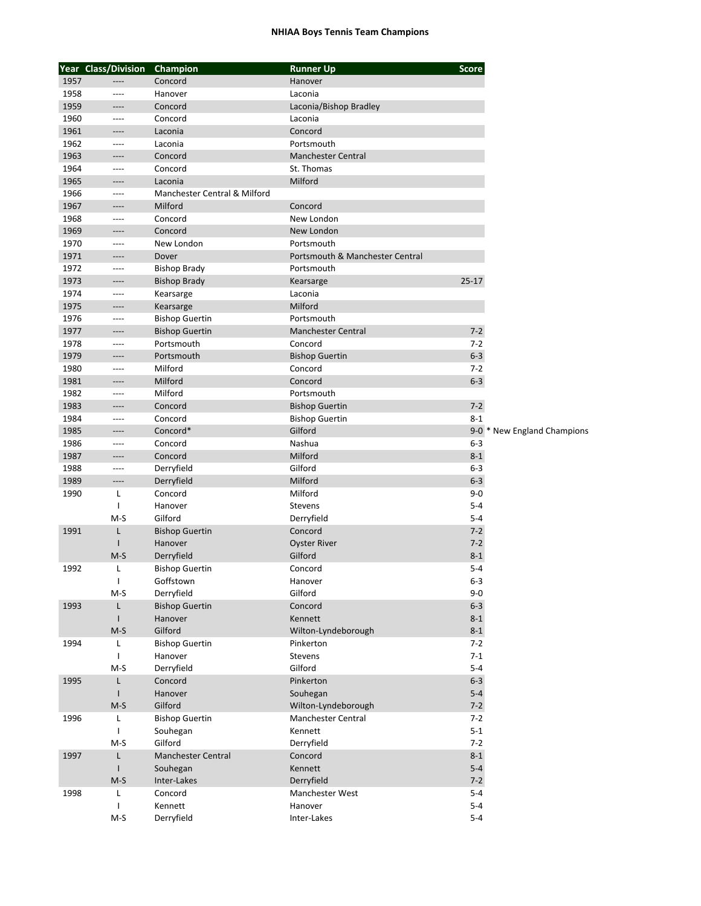## **NHIAA Boys Tennis Team Champions**

|      | Year Class/Division | Champion                     | <b>Runner Up</b>                | <b>Score</b> |                             |
|------|---------------------|------------------------------|---------------------------------|--------------|-----------------------------|
| 1957 |                     | Concord                      | Hanover                         |              |                             |
| 1958 | ----                | Hanover                      | Laconia                         |              |                             |
| 1959 | ----                | Concord                      | Laconia/Bishop Bradley          |              |                             |
| 1960 | ----                | Concord                      | Laconia                         |              |                             |
| 1961 | ----                | Laconia                      | Concord                         |              |                             |
| 1962 | ----                | Laconia                      | Portsmouth                      |              |                             |
| 1963 | ----                | Concord                      | <b>Manchester Central</b>       |              |                             |
| 1964 | ----                | Concord                      | St. Thomas                      |              |                             |
| 1965 | ----                | Laconia                      | Milford                         |              |                             |
| 1966 | $---$               | Manchester Central & Milford |                                 |              |                             |
| 1967 | ----                | Milford                      | Concord                         |              |                             |
| 1968 | ----                | Concord                      | New London                      |              |                             |
| 1969 | ----                | Concord                      | New London                      |              |                             |
| 1970 | $---$               | New London                   | Portsmouth                      |              |                             |
| 1971 | ----                | Dover                        | Portsmouth & Manchester Central |              |                             |
| 1972 | ----                | <b>Bishop Brady</b>          | Portsmouth                      |              |                             |
| 1973 | $-----$             | <b>Bishop Brady</b>          | Kearsarge                       | $25 - 17$    |                             |
| 1974 | ----                | Kearsarge                    | Laconia                         |              |                             |
| 1975 | ----                |                              | Milford                         |              |                             |
| 1976 |                     | Kearsarge                    |                                 |              |                             |
|      | ----                | <b>Bishop Guertin</b>        | Portsmouth                      |              |                             |
| 1977 | ----                | <b>Bishop Guertin</b>        | <b>Manchester Central</b>       | $7 - 2$      |                             |
| 1978 | ----                | Portsmouth                   | Concord                         | $7-2$        |                             |
| 1979 | ----                | Portsmouth                   | <b>Bishop Guertin</b>           | $6-3$        |                             |
| 1980 | ----                | Milford                      | Concord                         | $7 - 2$      |                             |
| 1981 | ----                | Milford                      | Concord                         | $6-3$        |                             |
| 1982 | ----                | Milford                      | Portsmouth                      |              |                             |
| 1983 | $---$               | Concord                      | <b>Bishop Guertin</b>           | $7 - 2$      |                             |
| 1984 | $---$               | Concord                      | <b>Bishop Guertin</b>           | $8 - 1$      |                             |
| 1985 | ----                | Concord*                     | Gilford                         |              | 9-0 * New England Champions |
| 1986 | ----                | Concord                      | Nashua                          | $6 - 3$      |                             |
| 1987 | ----                | Concord                      | Milford                         | $8 - 1$      |                             |
| 1988 | ----                | Derryfield                   | Gilford                         | $6 - 3$      |                             |
| 1989 | ----                | Derryfield                   | Milford                         | $6 - 3$      |                             |
| 1990 | L                   | Concord                      | Milford                         | $9 - 0$      |                             |
|      | $\mathbf{I}$        | Hanover                      | Stevens                         | $5 - 4$      |                             |
|      | $M-S$               | Gilford                      | Derryfield                      | $5 - 4$      |                             |
| 1991 | L                   | <b>Bishop Guertin</b>        | Concord                         | $7 - 2$      |                             |
|      | $\mathsf{I}$        | Hanover                      | <b>Oyster River</b>             | $7 - 2$      |                             |
|      | $M-S$               | Derryfield                   | Gilford                         | $8 - 1$      |                             |
| 1992 | Г                   | <b>Bishop Guertin</b>        | Concord                         | $5 - 4$      |                             |
|      | $\mathbf{I}$        | Goffstown                    | Hanover                         | $6 - 3$      |                             |
|      | $M-S$               | Derryfield                   | Gilford                         | $9-0$        |                             |
| 1993 | L                   | <b>Bishop Guertin</b>        | Concord                         | $6 - 3$      |                             |
|      | $\mathsf{I}$        | Hanover                      | Kennett                         | $8 - 1$      |                             |
|      | $M-S$               | Gilford                      | Wilton-Lyndeborough             | $8 - 1$      |                             |
| 1994 | L                   | <b>Bishop Guertin</b>        | Pinkerton                       | $7-2$        |                             |
|      | $\mathbf{I}$        | Hanover                      | Stevens                         | $7 - 1$      |                             |
|      | $M-S$               | Derryfield                   | Gilford                         | $5-4$        |                             |
| 1995 | L                   | Concord                      | Pinkerton                       | $6 - 3$      |                             |
|      | $\mathsf{I}$        | Hanover                      | Souhegan                        | $5 - 4$      |                             |
|      | $M-S$               | Gilford                      | Wilton-Lyndeborough             | $7 - 2$      |                             |
| 1996 | L                   | <b>Bishop Guertin</b>        | Manchester Central              | $7-2$        |                             |
|      | T                   | Souhegan                     | Kennett                         | $5 - 1$      |                             |
|      | $M-S$               | Gilford                      | Derryfield                      | $7-2$        |                             |
| 1997 | L                   | Manchester Central           | Concord                         | $8-1$        |                             |
|      | $\mathsf{I}$        | Souhegan                     | Kennett                         | $5 - 4$      |                             |
|      | M-S                 | Inter-Lakes                  | Derryfield                      | $7 - 2$      |                             |
| 1998 | L                   | Concord                      | Manchester West                 | $5-4$        |                             |
|      | $\mathbf{I}$        | Kennett                      | Hanover                         | $5 - 4$      |                             |
|      | $M-S$               | Derryfield                   | Inter-Lakes                     | $5-4$        |                             |
|      |                     |                              |                                 |              |                             |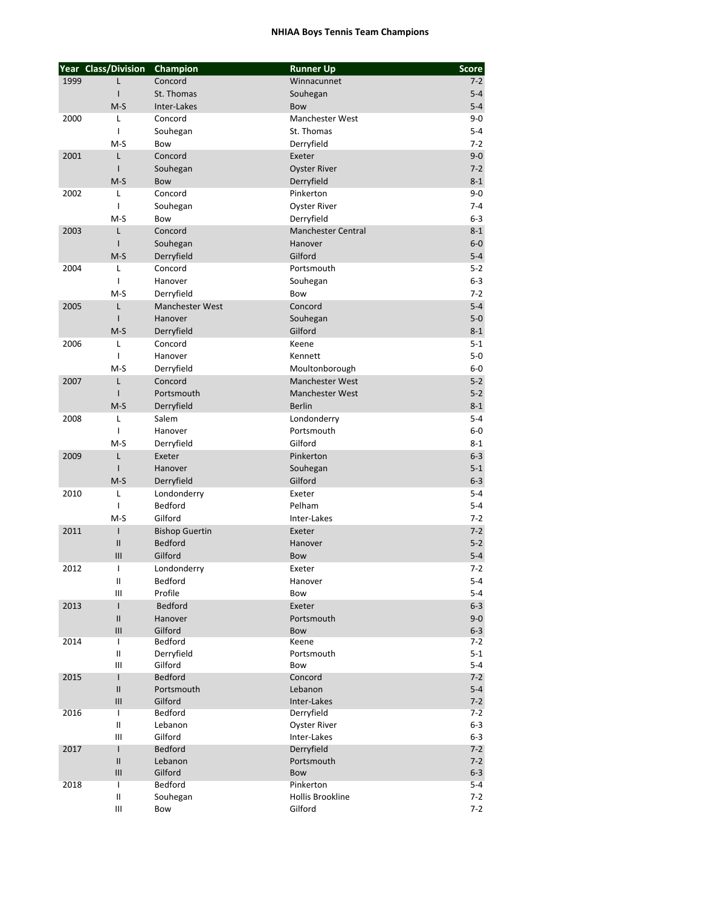## **NHIAA Boys Tennis Team Champions**

|      | Year Class/Division                     | Champion               | <b>Runner Up</b>              | <b>Score</b>       |
|------|-----------------------------------------|------------------------|-------------------------------|--------------------|
| 1999 | L                                       | Concord                | Winnacunnet                   | $7-2$              |
|      | ı                                       | St. Thomas             | Souhegan                      | $5 - 4$            |
|      | $M-S$                                   | Inter-Lakes            | Bow                           | $5 - 4$            |
| 2000 | L                                       | Concord                | <b>Manchester West</b>        | 9-0                |
|      | T                                       | Souhegan               | St. Thomas                    | $5 - 4$            |
|      | $M-S$                                   | Bow                    | Derryfield                    | $7-2$              |
| 2001 | L                                       | Concord                | Exeter                        | $9-0$              |
|      | I                                       | Souhegan               | <b>Oyster River</b>           | $7-2$              |
|      | $M-S$                                   | Bow                    | Derryfield                    | $8 - 1$            |
| 2002 | L                                       | Concord                | Pinkerton                     | 9-0                |
|      | I                                       | Souhegan               | <b>Oyster River</b>           | $7 - 4$            |
|      | $M-S$                                   | Bow                    | Derryfield                    | $6-3$              |
| 2003 | L                                       | Concord                | <b>Manchester Central</b>     | $8 - 1$            |
|      | ı                                       | Souhegan               | Hanover                       | $6-0$              |
|      | $M-S$                                   | Derryfield             | Gilford                       | $5 - 4$            |
| 2004 | L                                       | Concord                | Portsmouth                    | $5 - 2$            |
|      | ı                                       | Hanover                | Souhegan                      | 6-3                |
|      | $M-S$                                   | Derryfield             | Bow                           | $7-2$              |
| 2005 | Г<br>I                                  | <b>Manchester West</b> | Concord                       | $5 - 4$<br>$5-0$   |
|      | $M-S$                                   | Hanover                | Souhegan<br>Gilford           |                    |
| 2006 | L                                       | Derryfield<br>Concord  | Keene                         | $8 - 1$<br>$5 - 1$ |
|      | $\overline{1}$                          | Hanover                | Kennett                       | $5-0$              |
|      | $M-S$                                   | Derryfield             | Moultonborough                | $6-0$              |
| 2007 | Г                                       | Concord                | <b>Manchester West</b>        | $5 - 2$            |
|      | ı                                       | Portsmouth             | <b>Manchester West</b>        | $5 - 2$            |
|      | $M-S$                                   | Derryfield             | <b>Berlin</b>                 | $8 - 1$            |
| 2008 | L                                       | Salem                  | Londonderry                   | 5-4                |
|      | I                                       | Hanover                | Portsmouth                    | 6-0                |
|      | M-S                                     | Derryfield             | Gilford                       | $8 - 1$            |
| 2009 | Г                                       | Exeter                 | Pinkerton                     | $6 - 3$            |
|      | ı                                       | Hanover                | Souhegan                      | $5 - 1$            |
|      | $M-S$                                   | Derryfield             | Gilford                       | $6 - 3$            |
| 2010 | L                                       | Londonderry            | Exeter                        | $5 - 4$            |
|      | ı                                       | Bedford                | Pelham                        | 5-4                |
|      | $M-S$                                   | Gilford                | Inter-Lakes                   | $7-2$              |
| 2011 | T                                       | <b>Bishop Guertin</b>  | Exeter                        | $7-2$              |
|      | $\mathsf{II}$                           | <b>Bedford</b>         | Hanover                       | $5 - 2$            |
|      | III                                     | Gilford                | Bow                           | $5 - 4$            |
| 2012 | T                                       | Londonderry            | Exeter                        | 7-2                |
|      | Ш                                       | Bedford                | Hanover                       | $5 - 4$            |
|      | III                                     | Profile                | Bow                           | 5-4                |
| 2013 | L                                       | <b>Bedford</b>         | Exeter                        | $6-3$              |
|      | $\mathsf{II}$                           | Hanover                | Portsmouth                    | $9 - 0$            |
| 2014 | $\ensuremath{\mathsf{III}}\xspace$<br>T | Gilford<br>Bedford     | Bow<br>Keene                  | $6-3$<br>7-2       |
|      | Ш                                       | Derryfield             | Portsmouth                    | $5-1$              |
|      | Ш                                       | Gilford                | Bow                           | $5 - 4$            |
| 2015 | T                                       | <b>Bedford</b>         | Concord                       | $7 - 2$            |
|      | $\mathsf{II}$                           | Portsmouth             | Lebanon                       | $5 - 4$            |
|      | $\ensuremath{\mathsf{III}}\xspace$      | Gilford                | Inter-Lakes                   | $7-2$              |
| 2016 | T                                       | Bedford                | Derryfield                    | 7-2                |
|      | $\mathbf{II}$                           | Lebanon                | Oyster River                  | 6-3                |
|      | Ш                                       | Gilford                | Inter-Lakes                   | $6-3$              |
| 2017 | T                                       | <b>Bedford</b>         | Derryfield                    | $7 - 2$            |
|      | $\mathsf{II}$                           | Lebanon                | Portsmouth                    | $7-2$              |
|      | III                                     | Gilford                | Bow                           | $6 - 3$            |
| 2018 | T<br>Ш                                  | Bedford                | Pinkerton<br>Hollis Brookline | 5-4                |
|      | Ш                                       | Souhegan<br>Bow        | Gilford                       | 7-2<br>7-2         |
|      |                                         |                        |                               |                    |